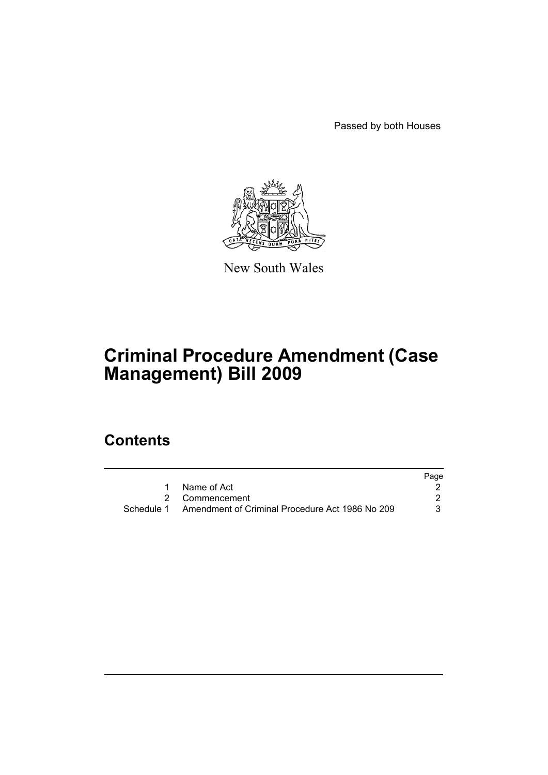Passed by both Houses



New South Wales

# **Criminal Procedure Amendment (Case Management) Bill 2009**

# **Contents**

|                                                            | Page |
|------------------------------------------------------------|------|
| Name of Act                                                |      |
| 2 Commencement                                             |      |
| Schedule 1 Amendment of Criminal Procedure Act 1986 No 209 |      |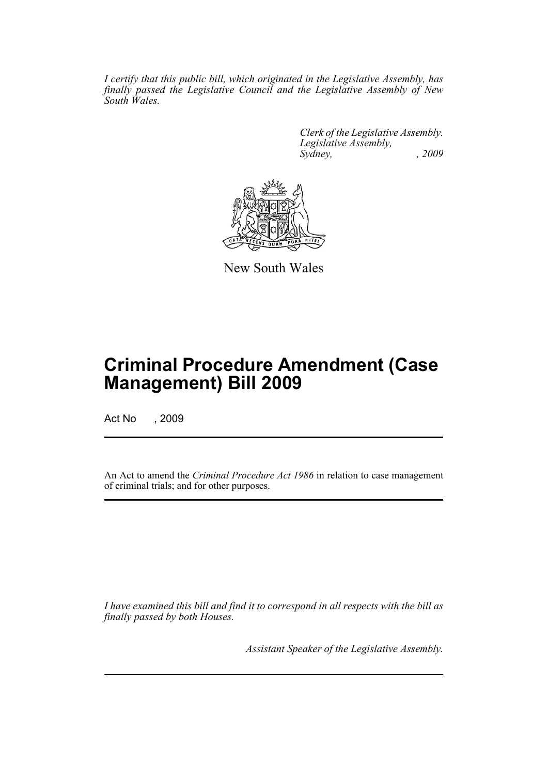*I certify that this public bill, which originated in the Legislative Assembly, has finally passed the Legislative Council and the Legislative Assembly of New South Wales.*

> *Clerk of the Legislative Assembly. Legislative Assembly, Sydney, , 2009*



New South Wales

# **Criminal Procedure Amendment (Case Management) Bill 2009**

Act No , 2009

An Act to amend the *Criminal Procedure Act 1986* in relation to case management of criminal trials; and for other purposes.

*I have examined this bill and find it to correspond in all respects with the bill as finally passed by both Houses.*

*Assistant Speaker of the Legislative Assembly.*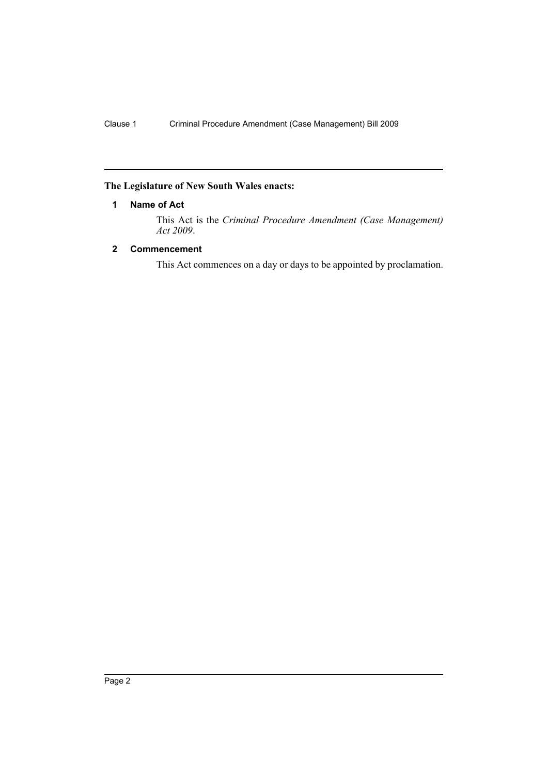## <span id="page-3-0"></span>**The Legislature of New South Wales enacts:**

## **1 Name of Act**

This Act is the *Criminal Procedure Amendment (Case Management) Act 2009*.

## <span id="page-3-1"></span>**2 Commencement**

This Act commences on a day or days to be appointed by proclamation.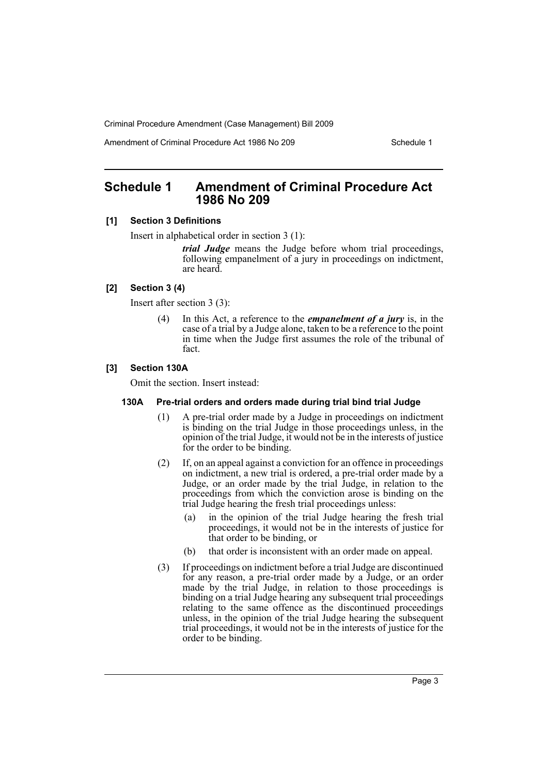Amendment of Criminal Procedure Act 1986 No 209

## <span id="page-4-0"></span>**Schedule 1 Amendment of Criminal Procedure Act 1986 No 209**

## **[1] Section 3 Definitions**

Insert in alphabetical order in section 3 (1):

*trial Judge* means the Judge before whom trial proceedings, following empanelment of a jury in proceedings on indictment, are heard.

## **[2] Section 3 (4)**

Insert after section 3 (3):

(4) In this Act, a reference to the *empanelment of a jury* is, in the case of a trial by a Judge alone, taken to be a reference to the point in time when the Judge first assumes the role of the tribunal of fact.

## **[3] Section 130A**

Omit the section. Insert instead:

### **130A Pre-trial orders and orders made during trial bind trial Judge**

- (1) A pre-trial order made by a Judge in proceedings on indictment is binding on the trial Judge in those proceedings unless, in the opinion of the trial Judge, it would not be in the interests of justice for the order to be binding.
- (2) If, on an appeal against a conviction for an offence in proceedings on indictment, a new trial is ordered, a pre-trial order made by a Judge, or an order made by the trial Judge, in relation to the proceedings from which the conviction arose is binding on the trial Judge hearing the fresh trial proceedings unless:
	- (a) in the opinion of the trial Judge hearing the fresh trial proceedings, it would not be in the interests of justice for that order to be binding, or
	- (b) that order is inconsistent with an order made on appeal.
- (3) If proceedings on indictment before a trial Judge are discontinued for any reason, a pre-trial order made by a Judge, or an order made by the trial Judge, in relation to those proceedings is binding on a trial Judge hearing any subsequent trial proceedings relating to the same offence as the discontinued proceedings unless, in the opinion of the trial Judge hearing the subsequent trial proceedings, it would not be in the interests of justice for the order to be binding.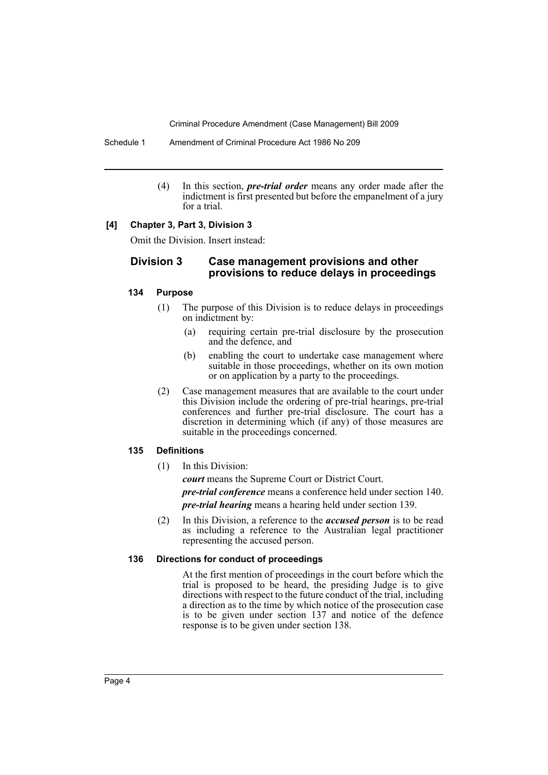Schedule 1 Amendment of Criminal Procedure Act 1986 No 209

(4) In this section, *pre-trial order* means any order made after the indictment is first presented but before the empanelment of a jury for a trial.

## **[4] Chapter 3, Part 3, Division 3**

Omit the Division. Insert instead:

## **Division 3 Case management provisions and other provisions to reduce delays in proceedings**

#### **134 Purpose**

- (1) The purpose of this Division is to reduce delays in proceedings on indictment by:
	- (a) requiring certain pre-trial disclosure by the prosecution and the defence, and
	- (b) enabling the court to undertake case management where suitable in those proceedings, whether on its own motion or on application by a party to the proceedings.
- (2) Case management measures that are available to the court under this Division include the ordering of pre-trial hearings, pre-trial conferences and further pre-trial disclosure. The court has a discretion in determining which (if any) of those measures are suitable in the proceedings concerned.

## **135 Definitions**

(1) In this Division:

*court* means the Supreme Court or District Court.

*pre-trial conference* means a conference held under section 140.

*pre-trial hearing* means a hearing held under section 139.

(2) In this Division, a reference to the *accused person* is to be read as including a reference to the Australian legal practitioner representing the accused person.

## **136 Directions for conduct of proceedings**

At the first mention of proceedings in the court before which the trial is proposed to be heard, the presiding Judge is to give directions with respect to the future conduct of the trial, including a direction as to the time by which notice of the prosecution case is to be given under section 137 and notice of the defence response is to be given under section 138.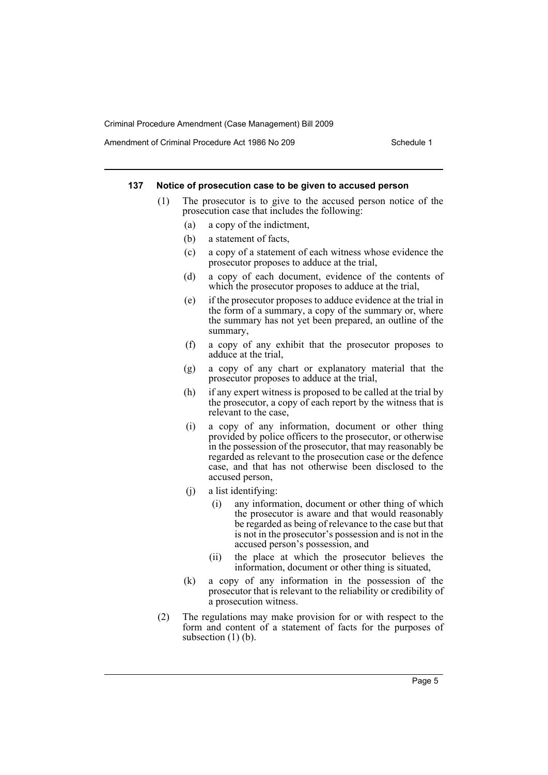Amendment of Criminal Procedure Act 1986 No 209

#### **137 Notice of prosecution case to be given to accused person**

- (1) The prosecutor is to give to the accused person notice of the prosecution case that includes the following:
	- (a) a copy of the indictment,
	- (b) a statement of facts,
	- (c) a copy of a statement of each witness whose evidence the prosecutor proposes to adduce at the trial,
	- (d) a copy of each document, evidence of the contents of which the prosecutor proposes to adduce at the trial,
	- (e) if the prosecutor proposes to adduce evidence at the trial in the form of a summary, a copy of the summary or, where the summary has not yet been prepared, an outline of the summary,
	- (f) a copy of any exhibit that the prosecutor proposes to adduce at the trial,
	- (g) a copy of any chart or explanatory material that the prosecutor proposes to adduce at the trial,
	- (h) if any expert witness is proposed to be called at the trial by the prosecutor, a copy of each report by the witness that is relevant to the case,
	- (i) a copy of any information, document or other thing provided by police officers to the prosecutor, or otherwise in the possession of the prosecutor, that may reasonably be regarded as relevant to the prosecution case or the defence case, and that has not otherwise been disclosed to the accused person,
	- (j) a list identifying:
		- (i) any information, document or other thing of which the prosecutor is aware and that would reasonably be regarded as being of relevance to the case but that is not in the prosecutor's possession and is not in the accused person's possession, and
		- (ii) the place at which the prosecutor believes the information, document or other thing is situated,
	- (k) a copy of any information in the possession of the prosecutor that is relevant to the reliability or credibility of a prosecution witness.
- (2) The regulations may make provision for or with respect to the form and content of a statement of facts for the purposes of subsection  $(1)$  (b).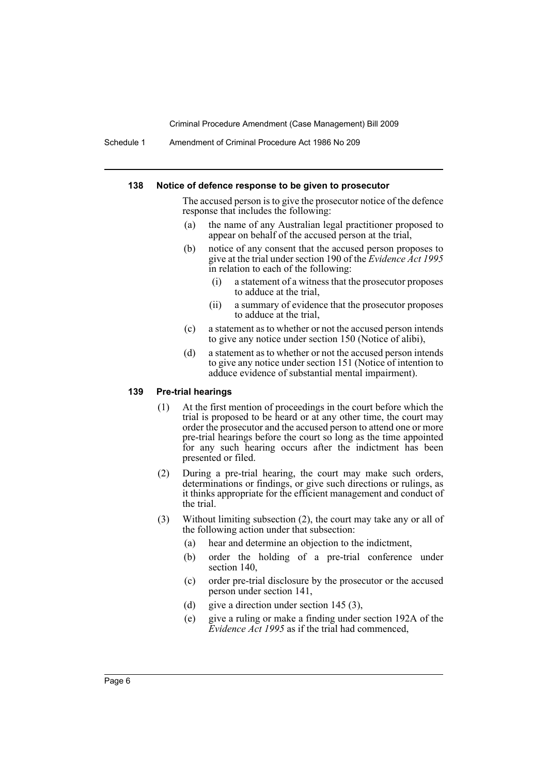Schedule 1 Amendment of Criminal Procedure Act 1986 No 209

#### **138 Notice of defence response to be given to prosecutor**

The accused person is to give the prosecutor notice of the defence response that includes the following:

- (a) the name of any Australian legal practitioner proposed to appear on behalf of the accused person at the trial,
- (b) notice of any consent that the accused person proposes to give at the trial under section 190 of the *Evidence Act 1995* in relation to each of the following:
	- (i) a statement of a witness that the prosecutor proposes to adduce at the trial,
	- (ii) a summary of evidence that the prosecutor proposes to adduce at the trial,
- (c) a statement as to whether or not the accused person intends to give any notice under section 150 (Notice of alibi),
- (d) a statement as to whether or not the accused person intends to give any notice under section 151 (Notice of intention to adduce evidence of substantial mental impairment).

## **139 Pre-trial hearings**

- (1) At the first mention of proceedings in the court before which the trial is proposed to be heard or at any other time, the court may order the prosecutor and the accused person to attend one or more pre-trial hearings before the court so long as the time appointed for any such hearing occurs after the indictment has been presented or filed.
- (2) During a pre-trial hearing, the court may make such orders, determinations or findings, or give such directions or rulings, as it thinks appropriate for the efficient management and conduct of the trial.
- (3) Without limiting subsection (2), the court may take any or all of the following action under that subsection:
	- (a) hear and determine an objection to the indictment,
	- (b) order the holding of a pre-trial conference under section 140,
	- (c) order pre-trial disclosure by the prosecutor or the accused person under section 141,
	- (d) give a direction under section 145 (3),
	- (e) give a ruling or make a finding under section 192A of the *Evidence Act 1995* as if the trial had commenced,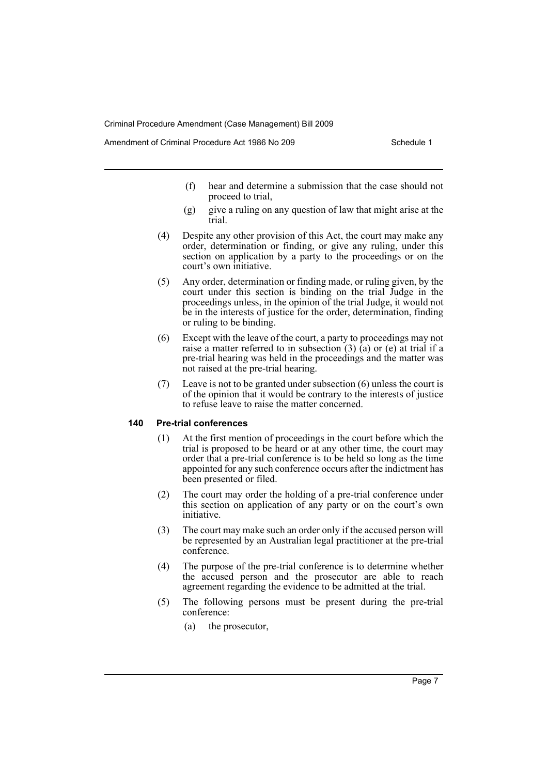Amendment of Criminal Procedure Act 1986 No 209

- (f) hear and determine a submission that the case should not proceed to trial,
- (g) give a ruling on any question of law that might arise at the trial.
- (4) Despite any other provision of this Act, the court may make any order, determination or finding, or give any ruling, under this section on application by a party to the proceedings or on the court's own initiative.
- (5) Any order, determination or finding made, or ruling given, by the court under this section is binding on the trial Judge in the proceedings unless, in the opinion of the trial Judge, it would not be in the interests of justice for the order, determination, finding or ruling to be binding.
- (6) Except with the leave of the court, a party to proceedings may not raise a matter referred to in subsection  $(3)$   $(a)$  or  $(e)$  at trial if a pre-trial hearing was held in the proceedings and the matter was not raised at the pre-trial hearing.
- (7) Leave is not to be granted under subsection (6) unless the court is of the opinion that it would be contrary to the interests of justice to refuse leave to raise the matter concerned.

#### **140 Pre-trial conferences**

- (1) At the first mention of proceedings in the court before which the trial is proposed to be heard or at any other time, the court may order that a pre-trial conference is to be held so long as the time appointed for any such conference occurs after the indictment has been presented or filed.
- (2) The court may order the holding of a pre-trial conference under this section on application of any party or on the court's own initiative.
- (3) The court may make such an order only if the accused person will be represented by an Australian legal practitioner at the pre-trial conference.
- (4) The purpose of the pre-trial conference is to determine whether the accused person and the prosecutor are able to reach agreement regarding the evidence to be admitted at the trial.
- (5) The following persons must be present during the pre-trial conference:
	- (a) the prosecutor,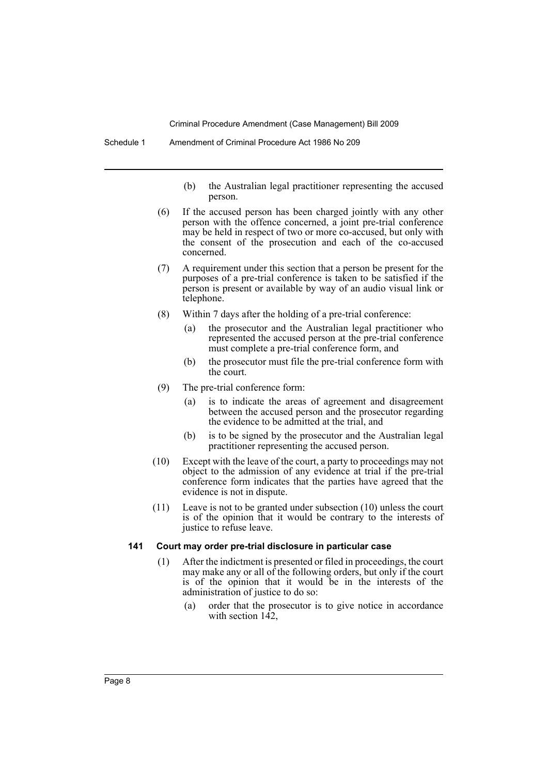- (b) the Australian legal practitioner representing the accused person.
- (6) If the accused person has been charged jointly with any other person with the offence concerned, a joint pre-trial conference may be held in respect of two or more co-accused, but only with the consent of the prosecution and each of the co-accused concerned.
- (7) A requirement under this section that a person be present for the purposes of a pre-trial conference is taken to be satisfied if the person is present or available by way of an audio visual link or telephone.
- (8) Within 7 days after the holding of a pre-trial conference:
	- (a) the prosecutor and the Australian legal practitioner who represented the accused person at the pre-trial conference must complete a pre-trial conference form, and
	- (b) the prosecutor must file the pre-trial conference form with the court.
- (9) The pre-trial conference form:
	- (a) is to indicate the areas of agreement and disagreement between the accused person and the prosecutor regarding the evidence to be admitted at the trial, and
	- (b) is to be signed by the prosecutor and the Australian legal practitioner representing the accused person.
- (10) Except with the leave of the court, a party to proceedings may not object to the admission of any evidence at trial if the pre-trial conference form indicates that the parties have agreed that the evidence is not in dispute.
- (11) Leave is not to be granted under subsection (10) unless the court is of the opinion that it would be contrary to the interests of justice to refuse leave.

#### **141 Court may order pre-trial disclosure in particular case**

- (1) After the indictment is presented or filed in proceedings, the court may make any or all of the following orders, but only if the court is of the opinion that it would be in the interests of the administration of justice to do so:
	- (a) order that the prosecutor is to give notice in accordance with section  $142$ ,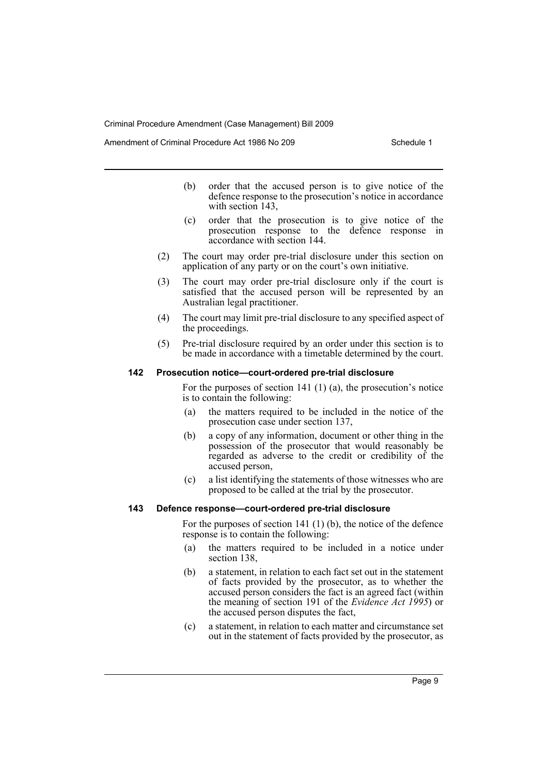Amendment of Criminal Procedure Act 1986 No 209

- (b) order that the accused person is to give notice of the defence response to the prosecution's notice in accordance with section 143.
- (c) order that the prosecution is to give notice of the prosecution response to the defence response in accordance with section 144.
- (2) The court may order pre-trial disclosure under this section on application of any party or on the court's own initiative.
- (3) The court may order pre-trial disclosure only if the court is satisfied that the accused person will be represented by an Australian legal practitioner.
- (4) The court may limit pre-trial disclosure to any specified aspect of the proceedings.
- (5) Pre-trial disclosure required by an order under this section is to be made in accordance with a timetable determined by the court.

## **142 Prosecution notice—court-ordered pre-trial disclosure**

For the purposes of section 141 (1) (a), the prosecution's notice is to contain the following:

- (a) the matters required to be included in the notice of the prosecution case under section 137,
- (b) a copy of any information, document or other thing in the possession of the prosecutor that would reasonably be regarded as adverse to the credit or credibility of the accused person,
- (c) a list identifying the statements of those witnesses who are proposed to be called at the trial by the prosecutor.

## **143 Defence response—court-ordered pre-trial disclosure**

For the purposes of section 141 (1) (b), the notice of the defence response is to contain the following:

- (a) the matters required to be included in a notice under section 138,
- (b) a statement, in relation to each fact set out in the statement of facts provided by the prosecutor, as to whether the accused person considers the fact is an agreed fact (within the meaning of section 191 of the *Evidence Act 1995*) or the accused person disputes the fact,
- (c) a statement, in relation to each matter and circumstance set out in the statement of facts provided by the prosecutor, as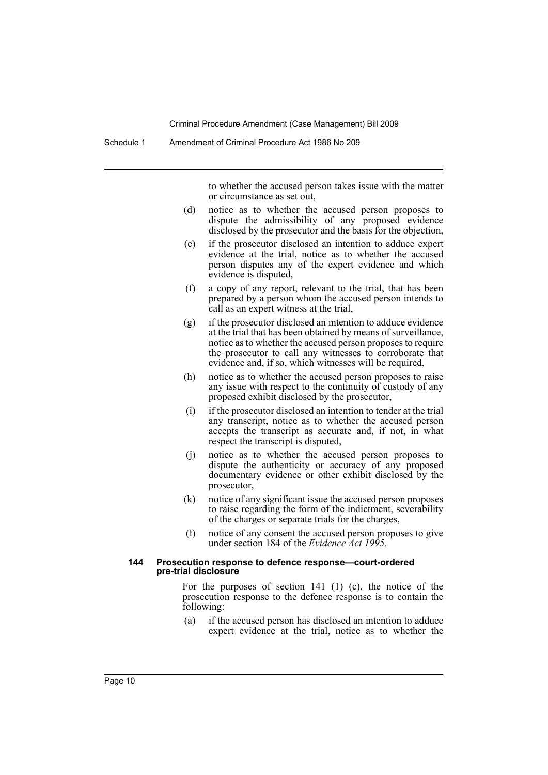to whether the accused person takes issue with the matter or circumstance as set out,

- (d) notice as to whether the accused person proposes to dispute the admissibility of any proposed evidence disclosed by the prosecutor and the basis for the objection,
- (e) if the prosecutor disclosed an intention to adduce expert evidence at the trial, notice as to whether the accused person disputes any of the expert evidence and which evidence is disputed,
- (f) a copy of any report, relevant to the trial, that has been prepared by a person whom the accused person intends to call as an expert witness at the trial,
- (g) if the prosecutor disclosed an intention to adduce evidence at the trial that has been obtained by means of surveillance, notice as to whether the accused person proposes to require the prosecutor to call any witnesses to corroborate that evidence and, if so, which witnesses will be required,
- (h) notice as to whether the accused person proposes to raise any issue with respect to the continuity of custody of any proposed exhibit disclosed by the prosecutor,
- (i) if the prosecutor disclosed an intention to tender at the trial any transcript, notice as to whether the accused person accepts the transcript as accurate and, if not, in what respect the transcript is disputed,
- (j) notice as to whether the accused person proposes to dispute the authenticity or accuracy of any proposed documentary evidence or other exhibit disclosed by the prosecutor,
- (k) notice of any significant issue the accused person proposes to raise regarding the form of the indictment, severability of the charges or separate trials for the charges,
- (l) notice of any consent the accused person proposes to give under section 184 of the *Evidence Act 1995*.

#### **144 Prosecution response to defence response—court-ordered pre-trial disclosure**

For the purposes of section 141 (1) (c), the notice of the prosecution response to the defence response is to contain the following:

(a) if the accused person has disclosed an intention to adduce expert evidence at the trial, notice as to whether the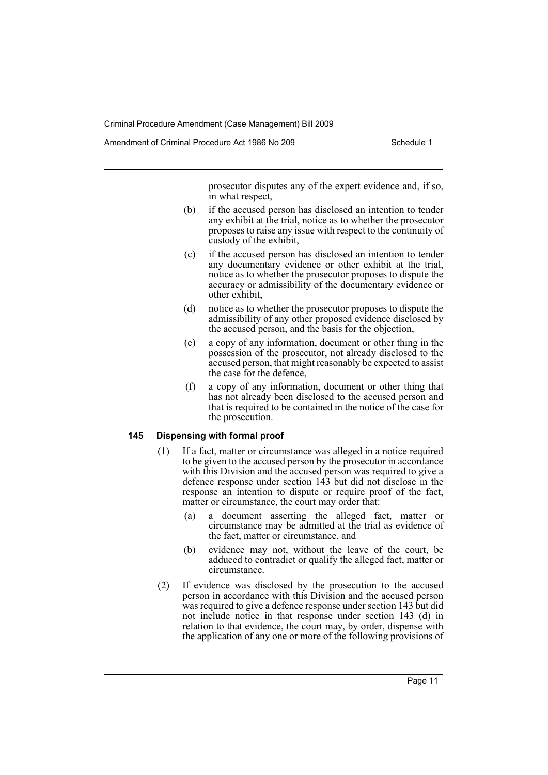Amendment of Criminal Procedure Act 1986 No 209

prosecutor disputes any of the expert evidence and, if so, in what respect,

- (b) if the accused person has disclosed an intention to tender any exhibit at the trial, notice as to whether the prosecutor proposes to raise any issue with respect to the continuity of custody of the exhibit,
- (c) if the accused person has disclosed an intention to tender any documentary evidence or other exhibit at the trial, notice as to whether the prosecutor proposes to dispute the accuracy or admissibility of the documentary evidence or other exhibit,
- (d) notice as to whether the prosecutor proposes to dispute the admissibility of any other proposed evidence disclosed by the accused person, and the basis for the objection,
- (e) a copy of any information, document or other thing in the possession of the prosecutor, not already disclosed to the accused person, that might reasonably be expected to assist the case for the defence,
- (f) a copy of any information, document or other thing that has not already been disclosed to the accused person and that is required to be contained in the notice of the case for the prosecution.

#### **145 Dispensing with formal proof**

- (1) If a fact, matter or circumstance was alleged in a notice required to be given to the accused person by the prosecutor in accordance with this Division and the accused person was required to give a defence response under section 143 but did not disclose in the response an intention to dispute or require proof of the fact, matter or circumstance, the court may order that:
	- (a) a document asserting the alleged fact, matter or circumstance may be admitted at the trial as evidence of the fact, matter or circumstance, and
	- (b) evidence may not, without the leave of the court, be adduced to contradict or qualify the alleged fact, matter or circumstance.
- (2) If evidence was disclosed by the prosecution to the accused person in accordance with this Division and the accused person was required to give a defence response under section 143 but did not include notice in that response under section 143 (d) in relation to that evidence, the court may, by order, dispense with the application of any one or more of the following provisions of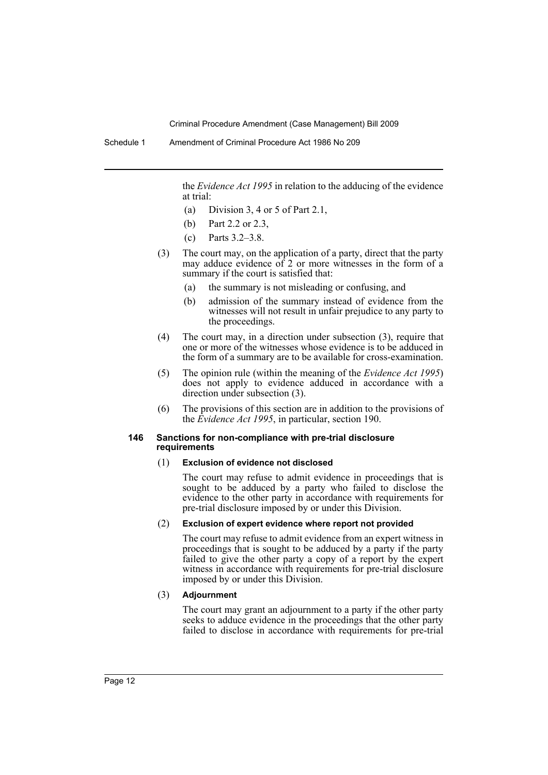the *Evidence Act 1995* in relation to the adducing of the evidence at trial:

- (a) Division 3, 4 or 5 of Part 2.1,
- (b) Part 2.2 or 2.3,
- (c) Parts 3.2–3.8.
- (3) The court may, on the application of a party, direct that the party may adduce evidence of 2 or more witnesses in the form of a summary if the court is satisfied that:
	- (a) the summary is not misleading or confusing, and
	- (b) admission of the summary instead of evidence from the witnesses will not result in unfair prejudice to any party to the proceedings.
- (4) The court may, in a direction under subsection (3), require that one or more of the witnesses whose evidence is to be adduced in the form of a summary are to be available for cross-examination.
- (5) The opinion rule (within the meaning of the *Evidence Act 1995*) does not apply to evidence adduced in accordance with a direction under subsection (3).
- (6) The provisions of this section are in addition to the provisions of the *Evidence Act 1995*, in particular, section 190.

#### **146 Sanctions for non-compliance with pre-trial disclosure requirements**

#### (1) **Exclusion of evidence not disclosed**

The court may refuse to admit evidence in proceedings that is sought to be adduced by a party who failed to disclose the evidence to the other party in accordance with requirements for pre-trial disclosure imposed by or under this Division.

### (2) **Exclusion of expert evidence where report not provided**

The court may refuse to admit evidence from an expert witness in proceedings that is sought to be adduced by a party if the party failed to give the other party a copy of a report by the expert witness in accordance with requirements for pre-trial disclosure imposed by or under this Division.

## (3) **Adjournment**

The court may grant an adjournment to a party if the other party seeks to adduce evidence in the proceedings that the other party failed to disclose in accordance with requirements for pre-trial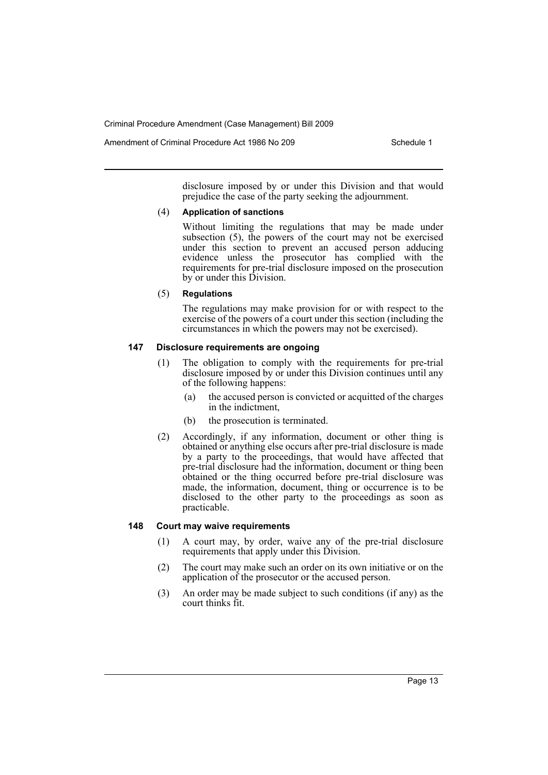Amendment of Criminal Procedure Act 1986 No 209

disclosure imposed by or under this Division and that would prejudice the case of the party seeking the adjournment.

#### (4) **Application of sanctions**

Without limiting the regulations that may be made under subsection (5), the powers of the court may not be exercised under this section to prevent an accused person adducing evidence unless the prosecutor has complied with the requirements for pre-trial disclosure imposed on the prosecution by or under this Division.

#### (5) **Regulations**

The regulations may make provision for or with respect to the exercise of the powers of a court under this section (including the circumstances in which the powers may not be exercised).

## **147 Disclosure requirements are ongoing**

- (1) The obligation to comply with the requirements for pre-trial disclosure imposed by or under this Division continues until any of the following happens:
	- (a) the accused person is convicted or acquitted of the charges in the indictment,
	- (b) the prosecution is terminated.
- (2) Accordingly, if any information, document or other thing is obtained or anything else occurs after pre-trial disclosure is made by a party to the proceedings, that would have affected that pre-trial disclosure had the information, document or thing been obtained or the thing occurred before pre-trial disclosure was made, the information, document, thing or occurrence is to be disclosed to the other party to the proceedings as soon as practicable.

#### **148 Court may waive requirements**

- (1) A court may, by order, waive any of the pre-trial disclosure requirements that apply under this Division.
- (2) The court may make such an order on its own initiative or on the application of the prosecutor or the accused person.
- (3) An order may be made subject to such conditions (if any) as the court thinks fit.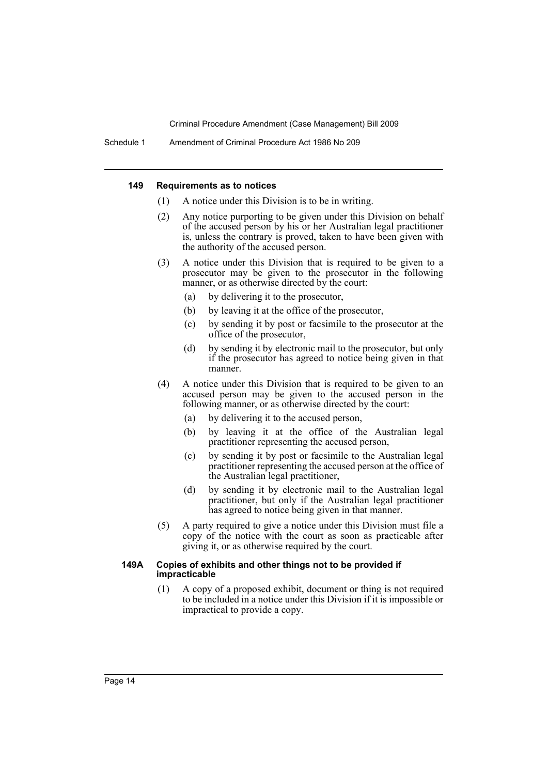#### **149 Requirements as to notices**

- (1) A notice under this Division is to be in writing.
- (2) Any notice purporting to be given under this Division on behalf of the accused person by his or her Australian legal practitioner is, unless the contrary is proved, taken to have been given with the authority of the accused person.
- (3) A notice under this Division that is required to be given to a prosecutor may be given to the prosecutor in the following manner, or as otherwise directed by the court:
	- (a) by delivering it to the prosecutor,
	- (b) by leaving it at the office of the prosecutor,
	- (c) by sending it by post or facsimile to the prosecutor at the office of the prosecutor,
	- (d) by sending it by electronic mail to the prosecutor, but only if the prosecutor has agreed to notice being given in that manner.
- (4) A notice under this Division that is required to be given to an accused person may be given to the accused person in the following manner, or as otherwise directed by the court:
	- (a) by delivering it to the accused person,
	- (b) by leaving it at the office of the Australian legal practitioner representing the accused person,
	- (c) by sending it by post or facsimile to the Australian legal practitioner representing the accused person at the office of the Australian legal practitioner,
	- (d) by sending it by electronic mail to the Australian legal practitioner, but only if the Australian legal practitioner has agreed to notice being given in that manner.
- (5) A party required to give a notice under this Division must file a copy of the notice with the court as soon as practicable after giving it, or as otherwise required by the court.

#### **149A Copies of exhibits and other things not to be provided if impracticable**

(1) A copy of a proposed exhibit, document or thing is not required to be included in a notice under this Division if it is impossible or impractical to provide a copy.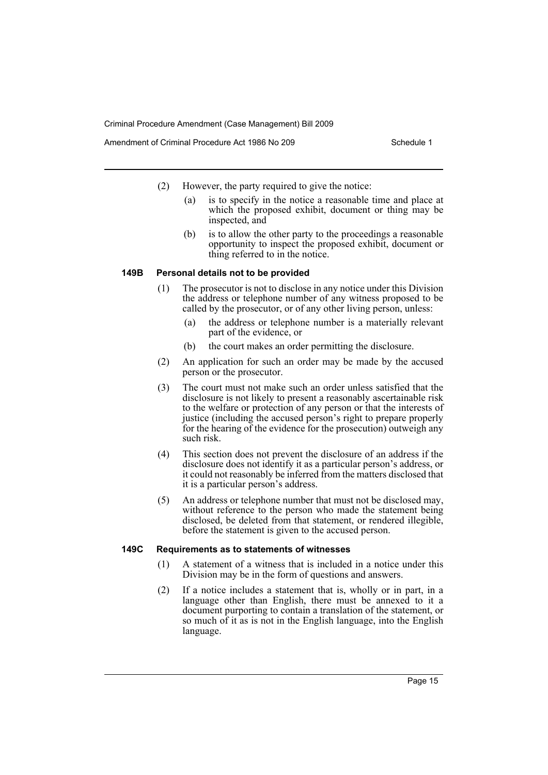Amendment of Criminal Procedure Act 1986 No 209

- (2) However, the party required to give the notice:
	- (a) is to specify in the notice a reasonable time and place at which the proposed exhibit, document or thing may be inspected, and
	- (b) is to allow the other party to the proceedings a reasonable opportunity to inspect the proposed exhibit, document or thing referred to in the notice.

#### **149B Personal details not to be provided**

- (1) The prosecutor is not to disclose in any notice under this Division the address or telephone number of any witness proposed to be called by the prosecutor, or of any other living person, unless:
	- (a) the address or telephone number is a materially relevant part of the evidence, or
	- (b) the court makes an order permitting the disclosure.
- (2) An application for such an order may be made by the accused person or the prosecutor.
- (3) The court must not make such an order unless satisfied that the disclosure is not likely to present a reasonably ascertainable risk to the welfare or protection of any person or that the interests of justice (including the accused person's right to prepare properly for the hearing of the evidence for the prosecution) outweigh any such risk.
- (4) This section does not prevent the disclosure of an address if the disclosure does not identify it as a particular person's address, or it could not reasonably be inferred from the matters disclosed that it is a particular person's address.
- (5) An address or telephone number that must not be disclosed may, without reference to the person who made the statement being disclosed, be deleted from that statement, or rendered illegible, before the statement is given to the accused person.

#### **149C Requirements as to statements of witnesses**

- (1) A statement of a witness that is included in a notice under this Division may be in the form of questions and answers.
- (2) If a notice includes a statement that is, wholly or in part, in a language other than English, there must be annexed to it a document purporting to contain a translation of the statement, or so much of it as is not in the English language, into the English language.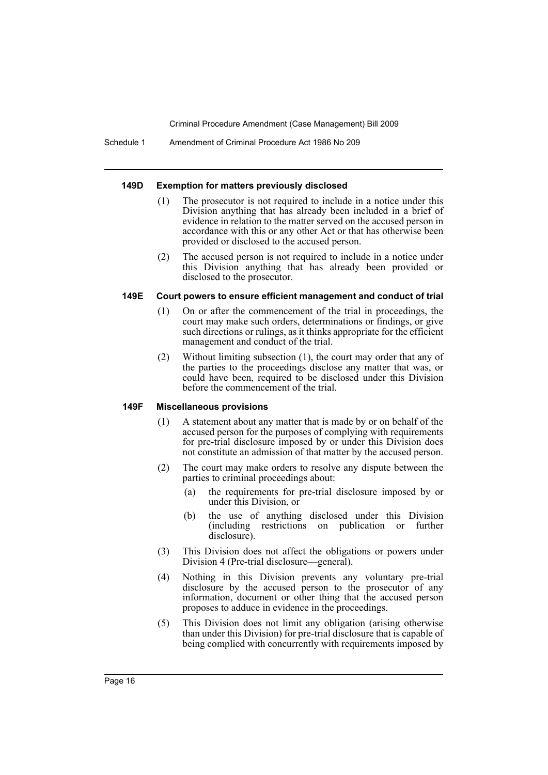Schedule 1 Amendment of Criminal Procedure Act 1986 No 209

#### **149D Exemption for matters previously disclosed**

- (1) The prosecutor is not required to include in a notice under this Division anything that has already been included in a brief of evidence in relation to the matter served on the accused person in accordance with this or any other Act or that has otherwise been provided or disclosed to the accused person.
- (2) The accused person is not required to include in a notice under this Division anything that has already been provided or disclosed to the prosecutor.

## **149E Court powers to ensure efficient management and conduct of trial**

- (1) On or after the commencement of the trial in proceedings, the court may make such orders, determinations or findings, or give such directions or rulings, as it thinks appropriate for the efficient management and conduct of the trial.
- (2) Without limiting subsection (1), the court may order that any of the parties to the proceedings disclose any matter that was, or could have been, required to be disclosed under this Division before the commencement of the trial.

## **149F Miscellaneous provisions**

- (1) A statement about any matter that is made by or on behalf of the accused person for the purposes of complying with requirements for pre-trial disclosure imposed by or under this Division does not constitute an admission of that matter by the accused person.
- (2) The court may make orders to resolve any dispute between the parties to criminal proceedings about:
	- (a) the requirements for pre-trial disclosure imposed by or under this Division, or
	- (b) the use of anything disclosed under this Division (including restrictions on publication or further disclosure).
- (3) This Division does not affect the obligations or powers under Division 4 (Pre-trial disclosure—general).
- (4) Nothing in this Division prevents any voluntary pre-trial disclosure by the accused person to the prosecutor of any information, document or other thing that the accused person proposes to adduce in evidence in the proceedings.
- (5) This Division does not limit any obligation (arising otherwise than under this Division) for pre-trial disclosure that is capable of being complied with concurrently with requirements imposed by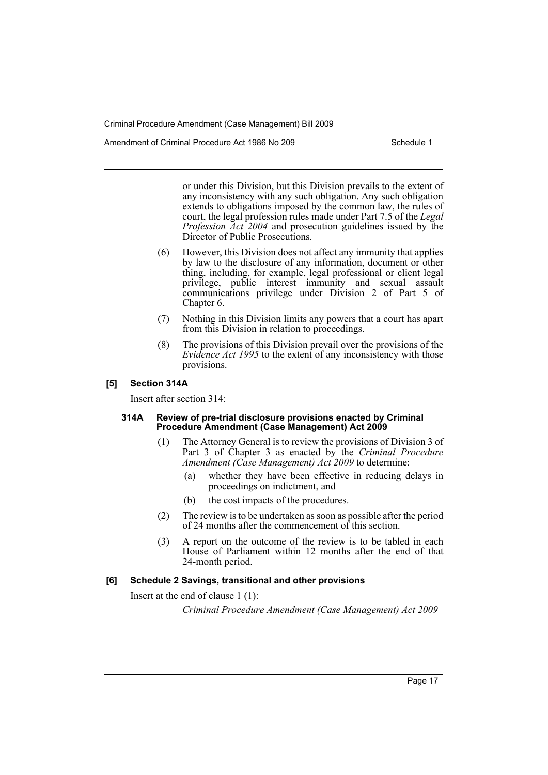Amendment of Criminal Procedure Act 1986 No 209

or under this Division, but this Division prevails to the extent of any inconsistency with any such obligation. Any such obligation extends to obligations imposed by the common law, the rules of court, the legal profession rules made under Part 7.5 of the *Legal Profession Act 2004* and prosecution guidelines issued by the Director of Public Prosecutions.

- (6) However, this Division does not affect any immunity that applies by law to the disclosure of any information, document or other thing, including, for example, legal professional or client legal privilege, public interest immunity and sexual assault communications privilege under Division 2 of Part 5 of Chapter 6.
- (7) Nothing in this Division limits any powers that a court has apart from this Division in relation to proceedings.
- (8) The provisions of this Division prevail over the provisions of the *Evidence Act 1995* to the extent of any inconsistency with those provisions.

## **[5] Section 314A**

Insert after section 314:

#### **314A Review of pre-trial disclosure provisions enacted by Criminal Procedure Amendment (Case Management) Act 2009**

- (1) The Attorney General is to review the provisions of Division 3 of Part 3 of Chapter 3 as enacted by the *Criminal Procedure Amendment (Case Management) Act 2009* to determine:
	- (a) whether they have been effective in reducing delays in proceedings on indictment, and
	- (b) the cost impacts of the procedures.
- (2) The review is to be undertaken as soon as possible after the period of 24 months after the commencement of this section.
- (3) A report on the outcome of the review is to be tabled in each House of Parliament within 12 months after the end of that 24-month period.

## **[6] Schedule 2 Savings, transitional and other provisions**

Insert at the end of clause 1 (1):

*Criminal Procedure Amendment (Case Management) Act 2009*